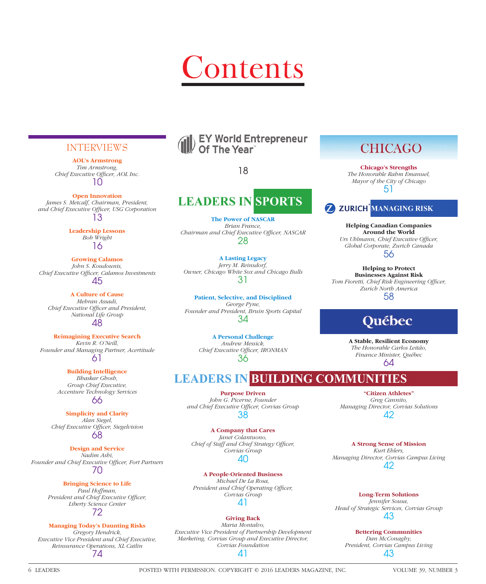# ontents

### INTERVIEWS

**AOL's Armstrong** *Tim Armstrong,*  Chief Executive Officer, AOL Inc. 10

**Open Innovation** *James S. Metcalf, Chairman, President,*  and Chief Executive Officer, USG Corporation 13

> **Leadership Lessons** *Bob Wright* 16

**Growing Calamos** *John S. Koudounis,*  **Chief Executive Officer, Calamos Investments** 45

**A Culture of Cause** *Mehran Assadi, Chief Executive Officer and President, National Life Group* 48

**Reimagining Executive Search** *Kevin R. O'Neill, Founder and Managing Partner, Acertitude* 61

> **Building Intelligence** *Bhaskar Ghosh, Group Chief Executive, Accenture Technology Services* 66

**Simplicity and Clarity** *Alan Siegel, Chief Executive Officer, Siegelvision* 68

**Design and Service** *Nadim Ashi,*  Founder and Chief Executive Officer, Fort Partners 70

### **Bringing Science to Life**

*Paul Hoffman, President and Chief Executive Officer, Liberty Science Center* 72

### **Managing Today's Daunting Risks**

*Gregory Hendrick, Executive Vice President and Chief Executive, Reinsurance Operations, XL Catlin*

74

### **EY World Entrepreneur** Of The Year

18

### **LEADERS IN SPORTS**

**The Power of NASCAR** *Brian France,*  Chairman and Chief Executive Officer, NASCAR 28

**A Lasting Legacy** *Jerry M. Reinsdorf, Owner, Chicago White Sox and Chicago Bulls* 31

**Patient, Selective, and Disciplined** *George Pyne, Founder and President, Bruin Sports Capital* 34

> **A Personal Challenge** *Andrew Messick,*  **Chief Executive Officer, IRONMAN** 36

### **LEADERS IN BUILDING COMMUNITIES**

**Purpose Driven** *John G. Picerne, Founder and Chief Executive Offi cer, Corvias Group* 38

**A Company that Cares** *Janet Colantuono,*  Chief of Staff and Chief Strategy Officer, *Corvias Group* 40

**A People-Oriented Business** *Michael De La Rosa,*  **President and Chief Operating Officer,** *Corvias Group* 41

### **Giving Back**

*Maria Montalvo, Executive Vice President of Partnership Development Marketing, Corvias Group and Executive Director, Corvias Foundation* 41

### **CHICAGO**

**Chicago's Strengths** *The Honorable Rahm Emanuel, Mayor of the City of Chicago* 51



**Helping Canadian Companies Around the World** Urs Uhlmann, Chief Executive Officer,

*Global Corporate, Zurich Canada* 56

**Helping to Protect Businesses Against Risk Tom Fioretti, Chief Risk Engineering Officer,** *Zurich North America* 58

## **Ouébec**

**A Stable, Resilient Economy** *The Honorable Carlos Leitão, Finance Minister, Québec* 64

**"Citizen Athletes"** *Greg Cannito, Managing Director, Corvias Solutions* 42

**A Strong Sense of Mission** *Kurt Ehlers, Managing Director, Corvias Campus Living* 42

**Long-Term Solutions** *Jennifer Sousa, Head of Strategic Services, Corvias Group* 43

**Bettering Communities** *Dan McConaghy, President, Corvias Campus Living* 43